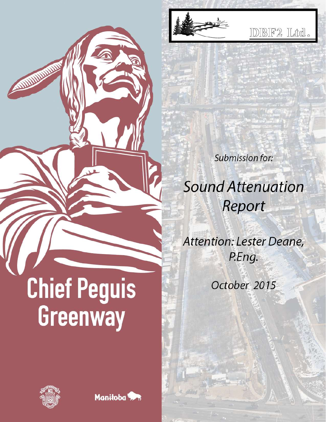

IDIBIF2 ILtd.

**Submission for:** 

# **Sound Attenuation** Report

Attention: Lester Deane, P.Eng.

October 2015

# **Chief Peguis** Greenway



AMMINITION

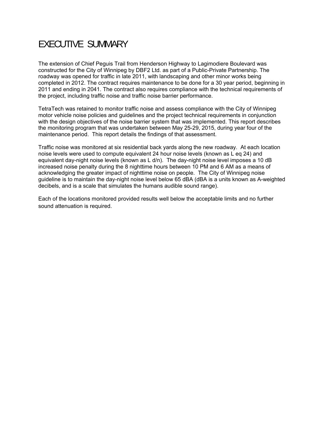### EXECUTIVE SUMMARY

The extension of Chief Peguis Trail from Henderson Highway to Lagimodiere Boulevard was constructed for the City of Winnipeg by DBF2 Ltd. as part of a Public-Private Partnership. The roadway was opened for traffic in late 2011, with landscaping and other minor works being completed in 2012. The contract requires maintenance to be done for a 30 year period, beginning in 2011 and ending in 2041. The contract also requires compliance with the technical requirements of the project, including traffic noise and traffic noise barrier performance.

TetraTech was retained to monitor traffic noise and assess compliance with the City of Winnipeg motor vehicle noise policies and guidelines and the project technical requirements in conjunction with the design objectives of the noise barrier system that was implemented. This report describes the monitoring program that was undertaken between May 25-29, 2015, during year four of the maintenance period. This report details the findings of that assessment.

Traffic noise was monitored at six residential back yards along the new roadway. At each location noise levels were used to compute equivalent 24 hour noise levels (known as L eq 24) and equivalent day-night noise levels (known as L d/n). The day-night noise level imposes a 10 dB increased noise penalty during the 8 nighttime hours between 10 PM and 6 AM as a means of acknowledging the greater impact of nighttime noise on people. The City of Winnipeg noise guideline is to maintain the day-night noise level below 65 dBA (dBA is a units known as A-weighted decibels, and is a scale that simulates the humans audible sound range).

Each of the locations monitored provided results well below the acceptable limits and no further sound attenuation is required.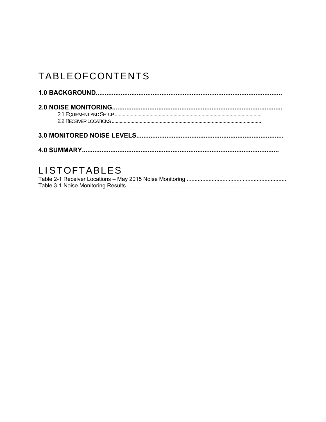## TABLEOFCONTENTS

#### LISTOFTABLES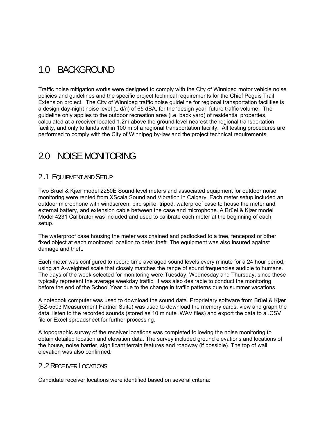#### 1.0 BACKGROUND

Traffic noise mitigation works were designed to comply with the City of Winnipeg motor vehicle noise policies and guidelines and the specific project technical requirements for the Chief Peguis Trail Extension project. The City of Winnipeg traffic noise guideline for regional transportation facilities is a design day-night noise level (L d/n) of 65 dBA, for the 'design year' future traffic volume. The guideline only applies to the outdoor recreation area (i.e. back yard) of residential properties, calculated at a receiver located 1.2m above the ground level nearest the regional transportation facility, and only to lands within 100 m of a regional transportation facility. All testing procedures are performed to comply with the City of Winnipeg by-law and the project technical requirements.

#### 2.0 NOISE MONITORING

#### 2 .1 EQU IPMENT AND SETUP

Two Brüel & Kjær model 2250E Sound level meters and associated equipment for outdoor noise monitoring were rented from XScala Sound and Vibration in Calgary. Each meter setup included an outdoor microphone with windscreen, bird spike, tripod, waterproof case to house the meter and external battery, and extension cable between the case and microphone. A Brüel & Kjær model Model 4231 Calibrator was included and used to calibrate each meter at the beginning of each setup.

The waterproof case housing the meter was chained and padlocked to a tree, fencepost or other fixed object at each monitored location to deter theft. The equipment was also insured against damage and theft.

Each meter was configured to record time averaged sound levels every minute for a 24 hour period, using an A-weighted scale that closely matches the range of sound frequencies audible to humans. The days of the week selected for monitoring were Tuesday, Wednesday and Thursday, since these typically represent the average weekday traffic. It was also desirable to conduct the monitoring before the end of the School Year due to the change in traffic patterns due to summer vacations.

A notebook computer was used to download the sound data. Proprietary software from Brüel & Kjær (BZ-5503 Measurement Partner Suite) was used to download the memory cards, view and graph the data, listen to the recorded sounds (stored as 10 minute .WAV files) and export the data to a .CSV file or Excel spreadsheet for further processing.

A topographic survey of the receiver locations was completed following the noise monitoring to obtain detailed location and elevation data. The survey included ground elevations and locations of the house, noise barrier, significant terrain features and roadway (if possible). The top of wall elevation was also confirmed.

#### 2 .2 RECE IVER LOCATIONS

Candidate receiver locations were identified based on several criteria: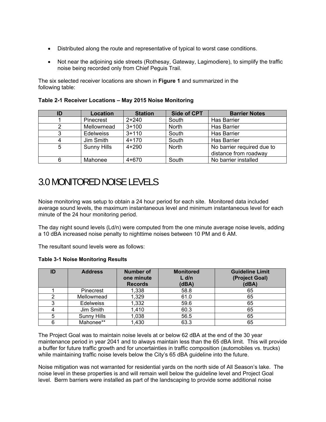- Distributed along the route and representative of typical to worst case conditions.
- Not near the adjoining side streets (Rothesay, Gateway, Lagimodiere), to simplify the traffic noise being recorded only from Chief Peguis Trail.

The six selected receiver locations are shown in **Figure 1** and summarized in the following table:

| ID | Location           | <b>Station</b> | <b>Side of CPT</b> | <b>Barrier Notes</b>                                |
|----|--------------------|----------------|--------------------|-----------------------------------------------------|
|    | Pinecrest          | $2 + 240$      | South              | <b>Has Barrier</b>                                  |
|    | Mellowmead         | $3 + 100$      | <b>North</b>       | <b>Has Barrier</b>                                  |
| 3  | <b>Edelweiss</b>   | $3 + 110$      | South              | <b>Has Barrier</b>                                  |
| 4  | Jim Smith          | $4 + 170$      | South              | <b>Has Barrier</b>                                  |
| 5  | <b>Sunny Hills</b> | $4 + 290$      | <b>North</b>       | No barrier required due to<br>distance from roadway |
| 6  | Mahonee            | $4 + 670$      | South              | No barrier installed                                |

**Table 2-1 Receiver Locations – May 2015 Noise Monitoring** 

#### 3.0 MONITORED NOISE LEVELS

Noise monitoring was setup to obtain a 24 hour period for each site. Monitored data included average sound levels, the maximum instantaneous level and minimum instantaneous level for each minute of the 24 hour monitoring period.

The day night sound levels  $(Ld/n)$  were computed from the one minute average noise levels, adding a 10 dBA increased noise penalty to nighttime noises between 10 PM and 6 AM.

The resultant sound levels were as follows:

**Table 3-1 Noise Monitoring Results** 

| ID | <b>Address</b>     | Number of<br>one minute<br><b>Records</b> | <b>Monitored</b><br>$L$ d/n<br>(dBA) | <b>Guideline Limit</b><br>(Project Goal)<br>(dBA) |
|----|--------------------|-------------------------------------------|--------------------------------------|---------------------------------------------------|
|    | <b>Pinecrest</b>   | 1,338                                     | 58.8                                 | 65                                                |
|    | Mellowmead         | 1,329                                     | 61.0                                 | 65                                                |
| 3  | <b>Edelweiss</b>   | 1,332                                     | 59.6                                 | 65                                                |
|    | Jim Smith          | 1,410                                     | 60.3                                 | 65                                                |
| 5  | <b>Sunny Hills</b> | 1,038                                     | 56.5                                 | 65                                                |
| 6  | Mahonee**          | 1,430                                     | 63.3                                 | 65                                                |

The Project Goal was to maintain noise levels at or below 62 dBA at the end of the 30 year maintenance period in year 2041 and to always maintain less than the 65 dBA limit. This will provide a buffer for future traffic growth and for uncertainties in traffic composition (automobiles vs. trucks) while maintaining traffic noise levels below the City's 65 dBA guideline into the future.

Noise mitigation was not warranted for residential yards on the north side of All Season's lake. The noise level in these properties is and will remain well below the guideline level and Project Goal level. Berm barriers were installed as part of the landscaping to provide some additional noise